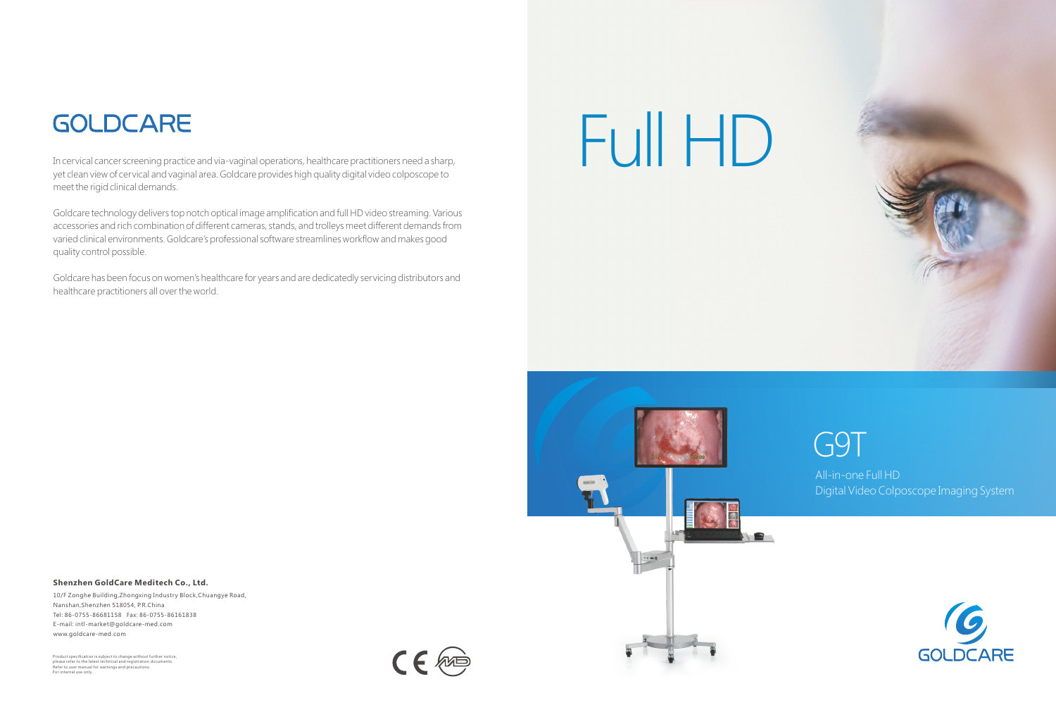### **Shenzhen GoldCare Meditech Co., Ltd.**

10/F Zonghe Building,Zhongxing Industry Block,Chuangye Road, Nanshan,Shenzhen 518054, P.R.China Tel: 86-0755-86681158 Fax: 86-0755-86161838 E-mail: intl-market@goldcare-med.com www.goldcare-med.com

## **GOLDCARE**

In cervical cancer screening practice and via-vaginal operations, healthcare practitioners need a sharp, yet clean view of cervical and vaginal area. Goldcare provides high quality digital video colposcope to meet the rigid clinical demands.

### G9T All-in-one Full HD Digital Video Colposcope Imaging System



Goldcare technology delivers top notch optical image amplification and full HD video streaming. Various accessories and rich combination of different cameras, stands, and trolleys meet different demands from varied clinical environments. Goldcare's professional software streamlines workflow and makes good quality control possible.

Goldcare has been focus on women's healthcare for years and are dedicatedly servicing distributors and healthcare practitioners all over the world.

# Full HD



Product specification is subject to change without further notice, please refer to the latest technical and registration documents. Refer to user manual for warnings and precautions. For internal use only.